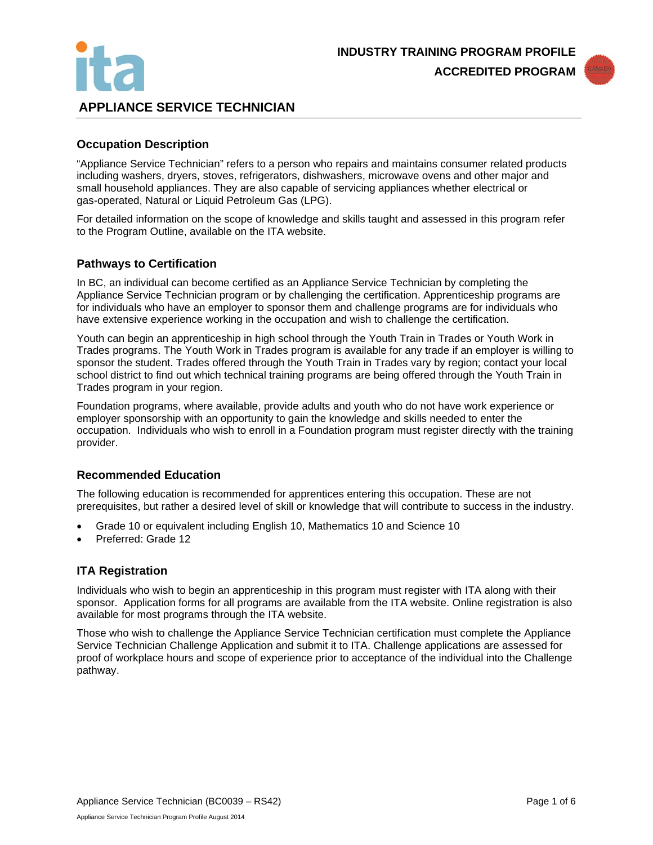



# **APPLIANCE SERVICE TECHNICIAN**

## **Occupation Description**

"Appliance Service Technician" refers to a person who repairs and maintains consumer related products including washers, dryers, stoves, refrigerators, dishwashers, microwave ovens and other major and small household appliances. They are also capable of servicing appliances whether electrical or gas-operated, Natural or Liquid Petroleum Gas (LPG).

For detailed information on the scope of knowledge and skills taught and assessed in this program refer to the Program Outline, available on the ITA website.

### **Pathways to Certification**

In BC, an individual can become certified as an Appliance Service Technician by completing the Appliance Service Technician program or by challenging the certification. Apprenticeship programs are for individuals who have an employer to sponsor them and challenge programs are for individuals who have extensive experience working in the occupation and wish to challenge the certification.

Youth can begin an apprenticeship in high school through the Youth Train in Trades or Youth Work in Trades programs. The Youth Work in Trades program is available for any trade if an employer is willing to sponsor the student. Trades offered through the Youth Train in Trades vary by region; contact your local school district to find out which technical training programs are being offered through the Youth Train in Trades program in your region.

Foundation programs, where available, provide adults and youth who do not have work experience or employer sponsorship with an opportunity to gain the knowledge and skills needed to enter the occupation. Individuals who wish to enroll in a Foundation program must register directly with the training provider.

### **Recommended Education**

The following education is recommended for apprentices entering this occupation. These are not prerequisites, but rather a desired level of skill or knowledge that will contribute to success in the industry.

- Grade 10 or equivalent including English 10, Mathematics 10 and Science 10
- Preferred: Grade 12

### **ITA Registration**

Individuals who wish to begin an apprenticeship in this program must register with ITA along with their sponsor. Application forms for all programs are available from the ITA website. Online registration is also available for most programs through the ITA website.

Those who wish to challenge the Appliance Service Technician certification must complete the Appliance Service Technician Challenge Application and submit it to ITA. Challenge applications are assessed for proof of workplace hours and scope of experience prior to acceptance of the individual into the Challenge pathway.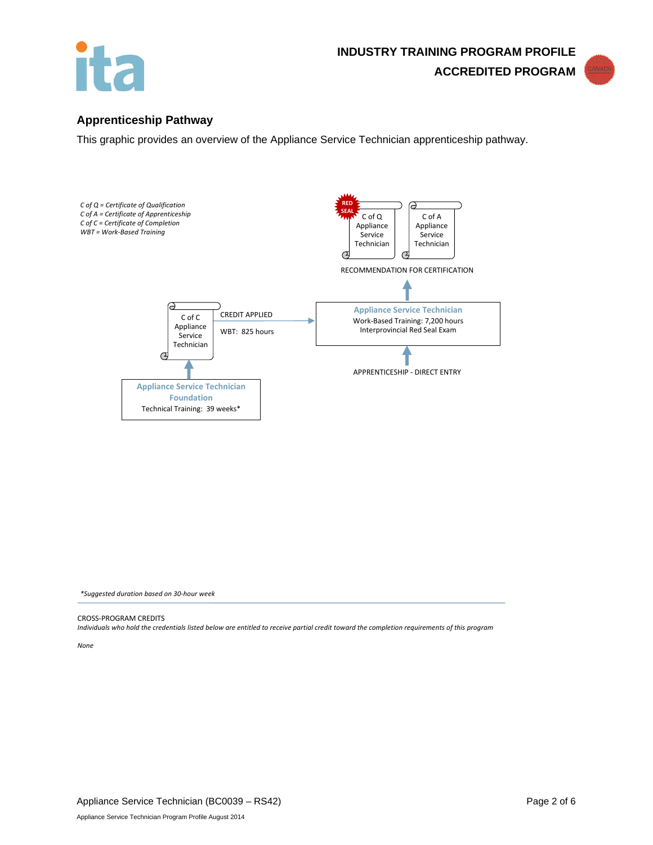



## **Apprenticeship Pathway**

This graphic provides an overview of the Appliance Service Technician apprenticeship pathway.



*\*Suggested duration based on 30-hour week*

CROSS-PROGRAM CREDITS

*Individuals who hold the credentials listed below are entitled to receive partial credit toward the completion requirements of this program*

*None*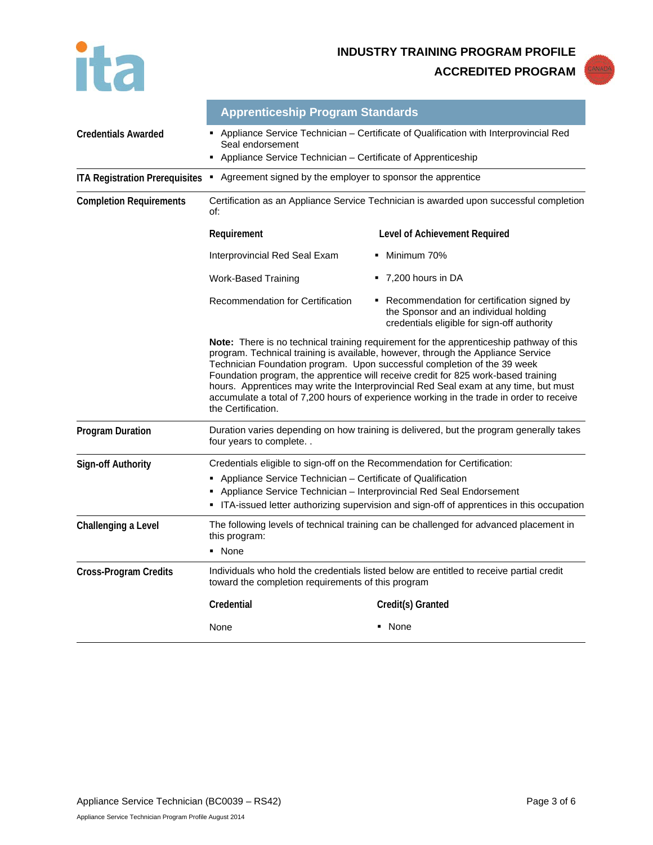ita

**INDUSTRY TRAINING PROGRAM PROFILE**

**ACCREDITED PROGRAM**



|                                       | <b>Apprenticeship Program Standards</b>                                                                                                                                                                                                                                                                                                                                                                                                                                                                                                                        |                                                                                                                                    |  |  |
|---------------------------------------|----------------------------------------------------------------------------------------------------------------------------------------------------------------------------------------------------------------------------------------------------------------------------------------------------------------------------------------------------------------------------------------------------------------------------------------------------------------------------------------------------------------------------------------------------------------|------------------------------------------------------------------------------------------------------------------------------------|--|--|
| <b>Credentials Awarded</b>            | - Appliance Service Technician - Certificate of Qualification with Interprovincial Red<br>Seal endorsement<br>• Appliance Service Technician - Certificate of Apprenticeship                                                                                                                                                                                                                                                                                                                                                                                   |                                                                                                                                    |  |  |
| <b>ITA Registration Prerequisites</b> | Agreement signed by the employer to sponsor the apprentice<br>٠.                                                                                                                                                                                                                                                                                                                                                                                                                                                                                               |                                                                                                                                    |  |  |
| <b>Completion Requirements</b>        | Certification as an Appliance Service Technician is awarded upon successful completion<br>of:                                                                                                                                                                                                                                                                                                                                                                                                                                                                  |                                                                                                                                    |  |  |
|                                       | Requirement                                                                                                                                                                                                                                                                                                                                                                                                                                                                                                                                                    | Level of Achievement Required                                                                                                      |  |  |
|                                       | Interprovincial Red Seal Exam                                                                                                                                                                                                                                                                                                                                                                                                                                                                                                                                  | Minimum 70%                                                                                                                        |  |  |
|                                       | Work-Based Training                                                                                                                                                                                                                                                                                                                                                                                                                                                                                                                                            | $-7,200$ hours in DA                                                                                                               |  |  |
|                                       | Recommendation for Certification                                                                                                                                                                                                                                                                                                                                                                                                                                                                                                                               | Recommendation for certification signed by<br>the Sponsor and an individual holding<br>credentials eligible for sign-off authority |  |  |
|                                       | <b>Note:</b> There is no technical training requirement for the apprenticeship pathway of this<br>program. Technical training is available, however, through the Appliance Service<br>Technician Foundation program. Upon successful completion of the 39 week<br>Foundation program, the apprentice will receive credit for 825 work-based training<br>hours. Apprentices may write the Interprovincial Red Seal exam at any time, but must<br>accumulate a total of 7,200 hours of experience working in the trade in order to receive<br>the Certification. |                                                                                                                                    |  |  |
| <b>Program Duration</b>               | Duration varies depending on how training is delivered, but the program generally takes<br>four years to complete                                                                                                                                                                                                                                                                                                                                                                                                                                              |                                                                                                                                    |  |  |
| <b>Sign-off Authority</b>             | Credentials eligible to sign-off on the Recommendation for Certification:                                                                                                                                                                                                                                                                                                                                                                                                                                                                                      |                                                                                                                                    |  |  |
|                                       | • Appliance Service Technician - Certificate of Qualification                                                                                                                                                                                                                                                                                                                                                                                                                                                                                                  |                                                                                                                                    |  |  |
|                                       | Appliance Service Technician - Interprovincial Red Seal Endorsement<br>• ITA-issued letter authorizing supervision and sign-off of apprentices in this occupation                                                                                                                                                                                                                                                                                                                                                                                              |                                                                                                                                    |  |  |
| Challenging a Level                   | The following levels of technical training can be challenged for advanced placement in<br>this program:                                                                                                                                                                                                                                                                                                                                                                                                                                                        |                                                                                                                                    |  |  |
|                                       | • None                                                                                                                                                                                                                                                                                                                                                                                                                                                                                                                                                         |                                                                                                                                    |  |  |
| <b>Cross-Program Credits</b>          | Individuals who hold the credentials listed below are entitled to receive partial credit<br>toward the completion requirements of this program                                                                                                                                                                                                                                                                                                                                                                                                                 |                                                                                                                                    |  |  |
|                                       | Credential                                                                                                                                                                                                                                                                                                                                                                                                                                                                                                                                                     | Credit(s) Granted                                                                                                                  |  |  |
|                                       | None                                                                                                                                                                                                                                                                                                                                                                                                                                                                                                                                                           | • None                                                                                                                             |  |  |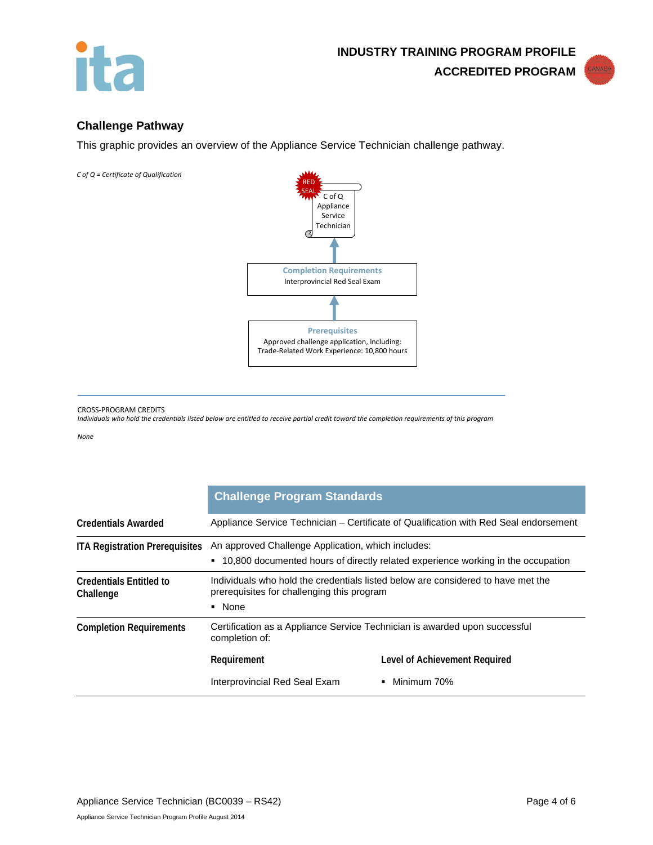



# **Challenge Pathway**

This graphic provides an overview of the Appliance Service Technician challenge pathway.

*C of Q = Certificate of Qualification* 



#### CROSS-PROGRAM CREDITS

*Individuals who hold the credentials listed below are entitled to receive partial credit toward the completion requirements of this program*

*None*

|                                             | <b>Challenge Program Standards</b>                                                                                                       |                               |  |
|---------------------------------------------|------------------------------------------------------------------------------------------------------------------------------------------|-------------------------------|--|
| <b>Credentials Awarded</b>                  | Appliance Service Technician – Certificate of Qualification with Red Seal endorsement                                                    |                               |  |
| <b>ITA Registration Prerequisites</b>       | An approved Challenge Application, which includes:<br>• 10,800 documented hours of directly related experience working in the occupation |                               |  |
| <b>Credentials Entitled to</b><br>Challenge | Individuals who hold the credentials listed below are considered to have met the<br>prerequisites for challenging this program<br>• None |                               |  |
| <b>Completion Requirements</b>              | Certification as a Appliance Service Technician is awarded upon successful<br>completion of:                                             |                               |  |
|                                             | Requirement                                                                                                                              | Level of Achievement Required |  |
|                                             | Interprovincial Red Seal Exam                                                                                                            | Minimum 70%                   |  |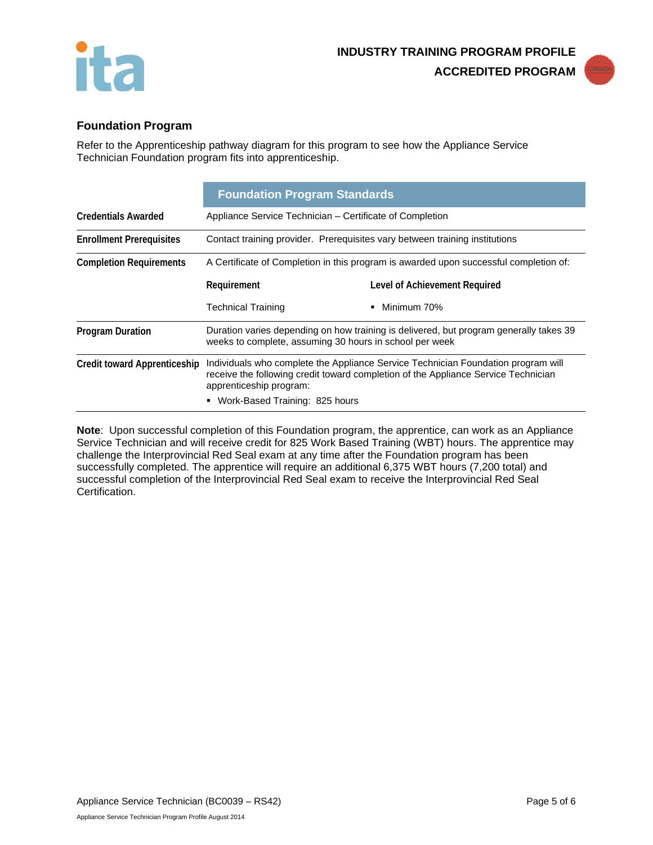



# **Foundation Program**

Refer to the Apprenticeship pathway diagram for this program to see how the Appliance Service Technician Foundation program fits into apprenticeship.

|                                     | <b>Foundation Program Standards</b>                                                                                                                                                                |                               |  |
|-------------------------------------|----------------------------------------------------------------------------------------------------------------------------------------------------------------------------------------------------|-------------------------------|--|
| <b>Credentials Awarded</b>          | Appliance Service Technician – Certificate of Completion                                                                                                                                           |                               |  |
| <b>Enrollment Prerequisites</b>     | Contact training provider. Prerequisites vary between training institutions                                                                                                                        |                               |  |
| <b>Completion Requirements</b>      | A Certificate of Completion in this program is awarded upon successful completion of:                                                                                                              |                               |  |
|                                     | Requirement                                                                                                                                                                                        | Level of Achievement Required |  |
|                                     | <b>Technical Training</b>                                                                                                                                                                          | Minimum 70%<br>٠              |  |
| <b>Program Duration</b>             | Duration varies depending on how training is delivered, but program generally takes 39<br>weeks to complete, assuming 30 hours in school per week                                                  |                               |  |
|                                     | Individuals who complete the Appliance Service Technician Foundation program will<br>receive the following credit toward completion of the Appliance Service Technician<br>apprenticeship program: |                               |  |
| <b>Credit toward Apprenticeship</b> |                                                                                                                                                                                                    |                               |  |

**Note**: Upon successful completion of this Foundation program, the apprentice, can work as an Appliance Service Technician and will receive credit for 825 Work Based Training (WBT) hours. The apprentice may challenge the Interprovincial Red Seal exam at any time after the Foundation program has been successfully completed. The apprentice will require an additional 6,375 WBT hours (7,200 total) and successful completion of the Interprovincial Red Seal exam to receive the Interprovincial Red Seal Certification.